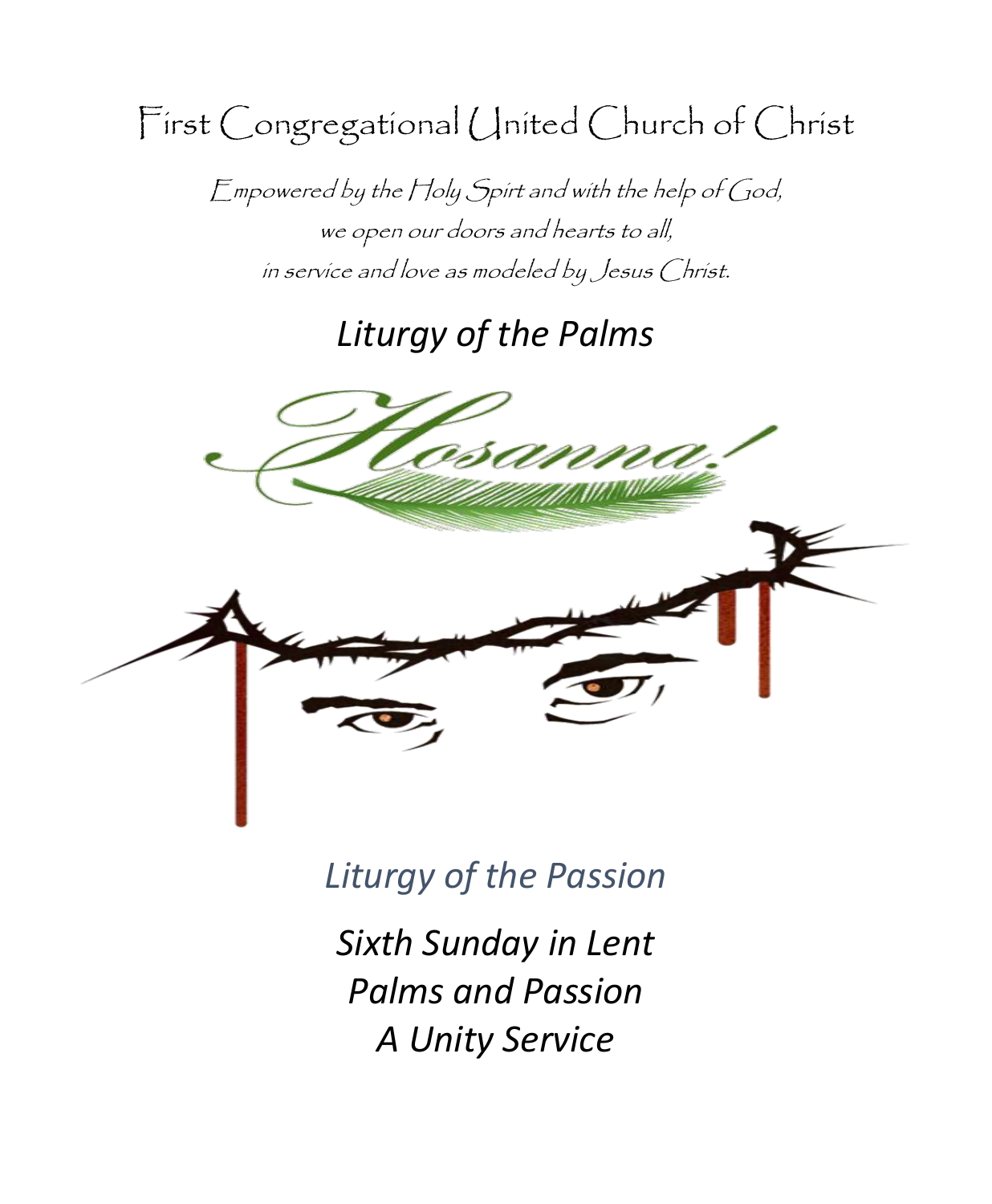First Congregational United Church of Christ

Empowered by the Holy Spirt and with the help of God, we open our doors and hearts to all, in service and love as modeled by Jesus Christ.

# *Liturgy of the Palms*



*Liturgy of the Passion*

*Sixth Sunday in Lent Palms and Passion A Unity Service*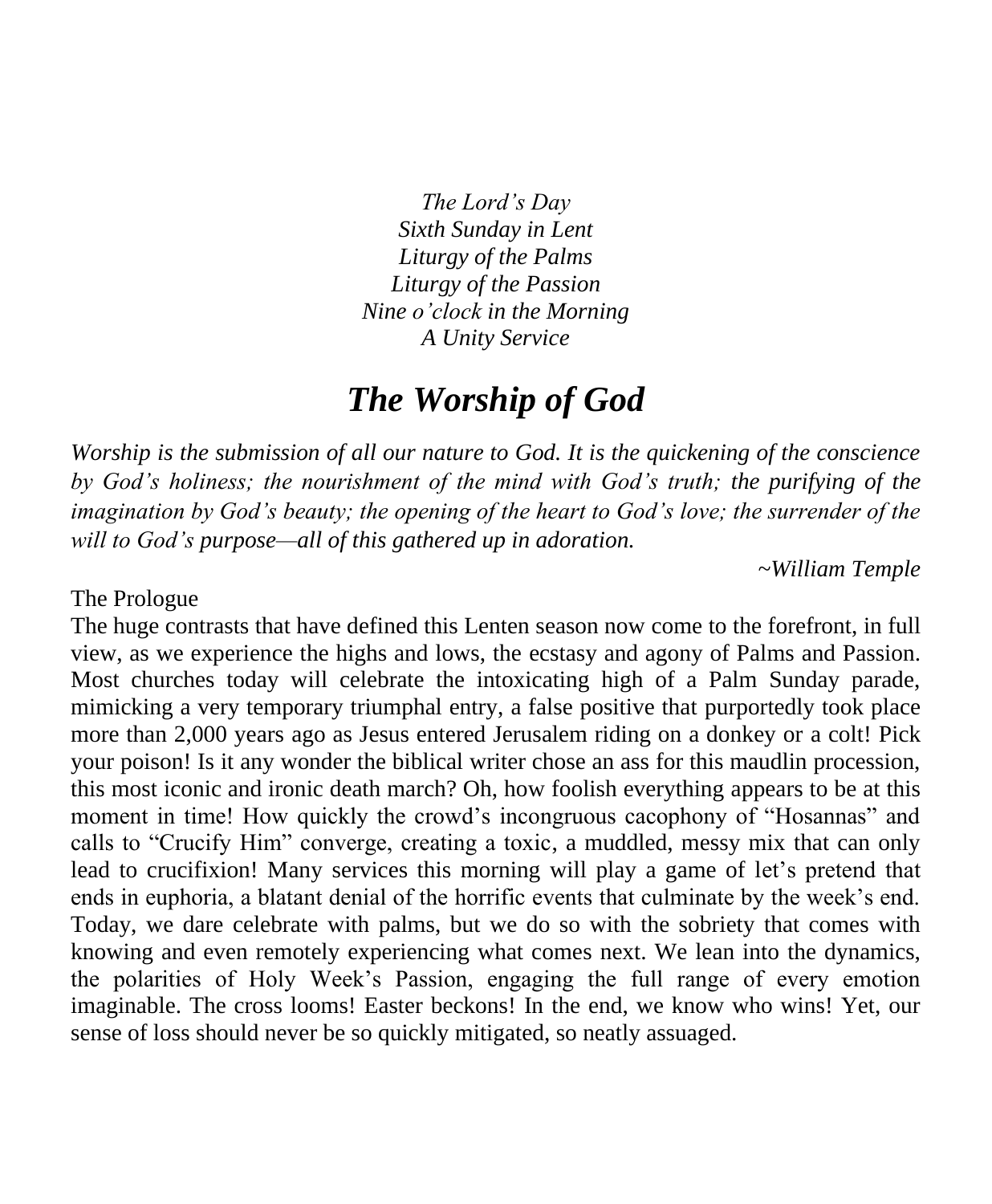*The Lord's Day Sixth Sunday in Lent Liturgy of the Palms Liturgy of the Passion Nine o'clock in the Morning A Unity Service*

## *The Worship of God*

*Worship is the submission of all our nature to God. It is the quickening of the conscience by God's holiness; the nourishment of the mind with God's truth; the purifying of the imagination by God's beauty; the opening of the heart to God's love; the surrender of the will to God's purpose—all of this gathered up in adoration.*

*~William Temple*

#### The Prologue

The huge contrasts that have defined this Lenten season now come to the forefront, in full view, as we experience the highs and lows, the ecstasy and agony of Palms and Passion. Most churches today will celebrate the intoxicating high of a Palm Sunday parade, mimicking a very temporary triumphal entry, a false positive that purportedly took place more than 2,000 years ago as Jesus entered Jerusalem riding on a donkey or a colt! Pick your poison! Is it any wonder the biblical writer chose an ass for this maudlin procession, this most iconic and ironic death march? Oh, how foolish everything appears to be at this moment in time! How quickly the crowd's incongruous cacophony of "Hosannas" and calls to "Crucify Him" converge, creating a toxic, a muddled, messy mix that can only lead to crucifixion! Many services this morning will play a game of let's pretend that ends in euphoria, a blatant denial of the horrific events that culminate by the week's end. Today, we dare celebrate with palms, but we do so with the sobriety that comes with knowing and even remotely experiencing what comes next. We lean into the dynamics, the polarities of Holy Week's Passion, engaging the full range of every emotion imaginable. The cross looms! Easter beckons! In the end, we know who wins! Yet, our sense of loss should never be so quickly mitigated, so neatly assuaged.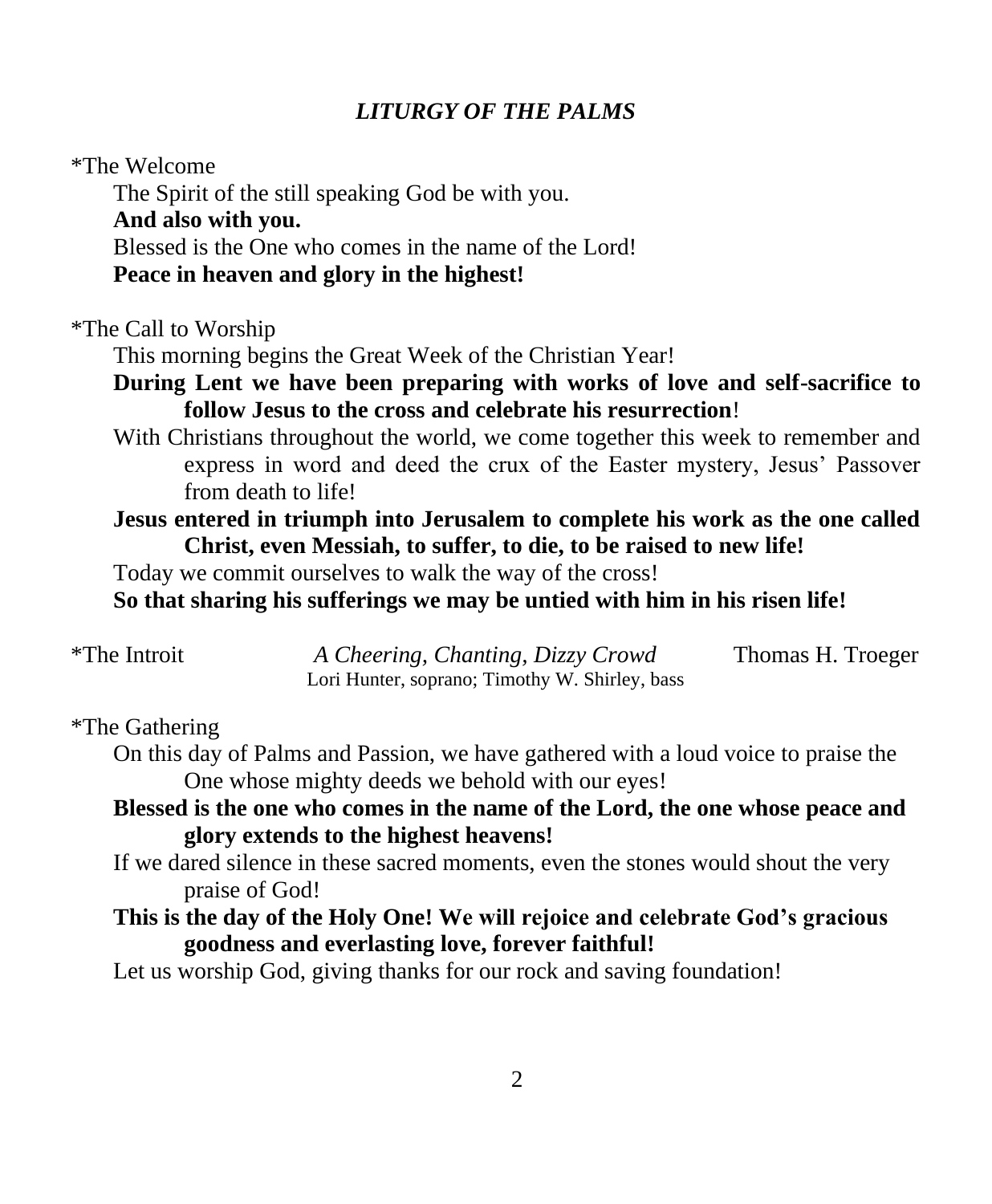### *LITURGY OF THE PALMS*

#### \*The Welcome

The Spirit of the still speaking God be with you.

### **And also with you.**

Blessed is the One who comes in the name of the Lord!

**Peace in heaven and glory in the highest!**

\*The Call to Worship

This morning begins the Great Week of the Christian Year!

### **During Lent we have been preparing with works of love and self-sacrifice to follow Jesus to the cross and celebrate his resurrection**!

With Christians throughout the world, we come together this week to remember and express in word and deed the crux of the Easter mystery, Jesus' Passover from death to life!

### **Jesus entered in triumph into Jerusalem to complete his work as the one called Christ, even Messiah, to suffer, to die, to be raised to new life!**

Today we commit ourselves to walk the way of the cross!

**So that sharing his sufferings we may be untied with him in his risen life!**

| <i>*</i> The Introit | A Cheering, Chanting, Dizzy Crowd              | Thomas H. Troeger |
|----------------------|------------------------------------------------|-------------------|
|                      | Lori Hunter, soprano; Timothy W. Shirley, bass |                   |

#### \*The Gathering

On this day of Palms and Passion, we have gathered with a loud voice to praise the One whose mighty deeds we behold with our eyes!

### **Blessed is the one who comes in the name of the Lord, the one whose peace and glory extends to the highest heavens!**

- If we dared silence in these sacred moments, even the stones would shout the very praise of God!
- **This is the day of the Holy One! We will rejoice and celebrate God's gracious goodness and everlasting love, forever faithful!**

Let us worship God, giving thanks for our rock and saving foundation!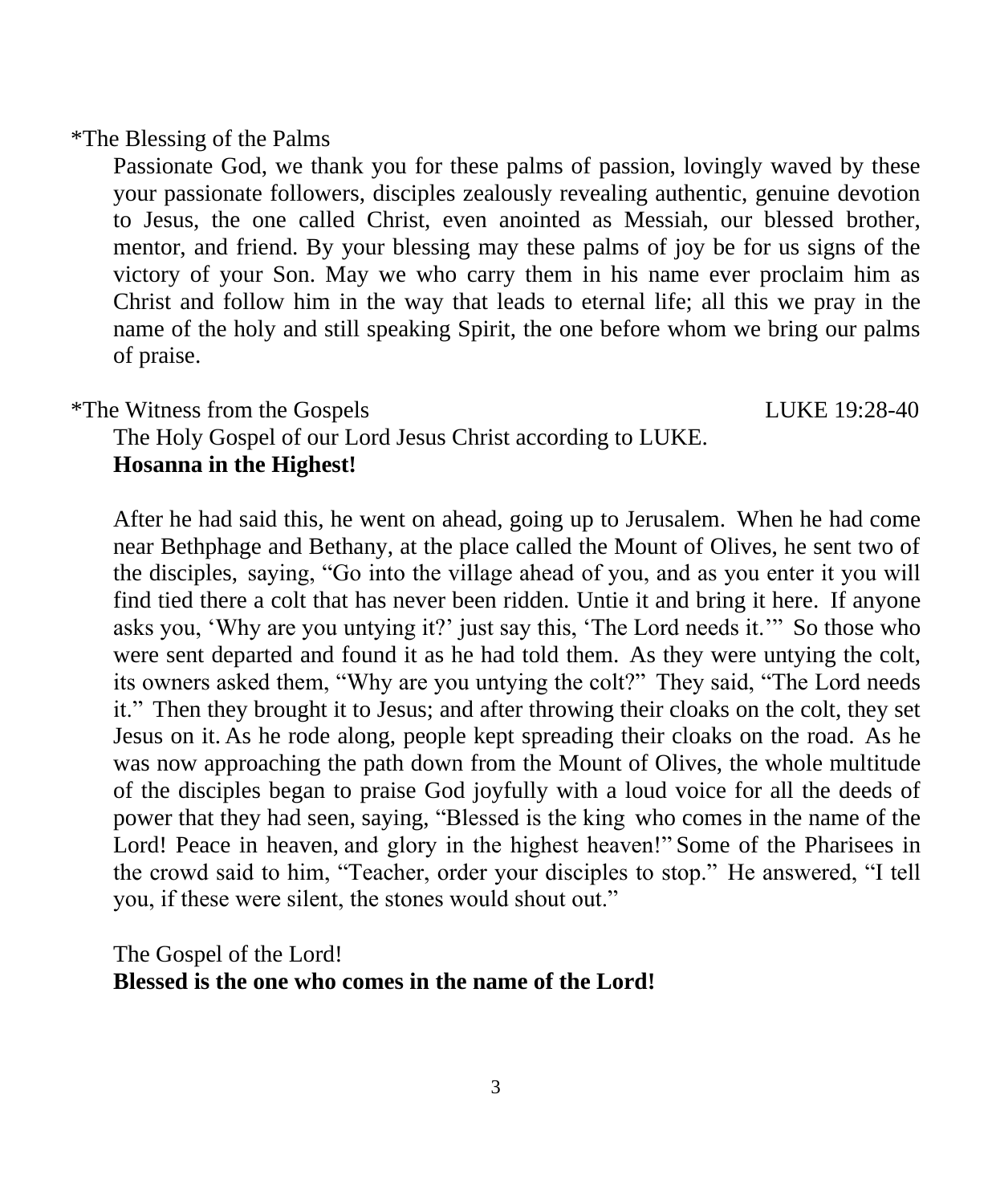\*The Blessing of the Palms

Passionate God, we thank you for these palms of passion, lovingly waved by these your passionate followers, disciples zealously revealing authentic, genuine devotion to Jesus, the one called Christ, even anointed as Messiah, our blessed brother, mentor, and friend. By your blessing may these palms of joy be for us signs of the victory of your Son. May we who carry them in his name ever proclaim him as Christ and follow him in the way that leads to eternal life; all this we pray in the name of the holy and still speaking Spirit, the one before whom we bring our palms of praise.

\*The Witness from the Gospels LUKE 19:28-40

The Holy Gospel of our Lord Jesus Christ according to LUKE. **Hosanna in the Highest!**

After he had said this, he went on ahead, going up to Jerusalem. When he had come near Bethphage and Bethany, at the place called the Mount of Olives, he sent two of the disciples, saying, "Go into the village ahead of you, and as you enter it you will find tied there a colt that has never been ridden. Untie it and bring it here. If anyone asks you, 'Why are you untying it?' just say this, 'The Lord needs it.'" So those who were sent departed and found it as he had told them. As they were untying the colt, its owners asked them, "Why are you untying the colt?" They said, "The Lord needs it." Then they brought it to Jesus; and after throwing their cloaks on the colt, they set Jesus on it. As he rode along, people kept spreading their cloaks on the road. As he was now approaching the path down from the Mount of Olives, the whole multitude of the disciples began to praise God joyfully with a loud voice for all the deeds of power that they had seen, saying, "Blessed is the king who comes in the name of the Lord! Peace in heaven, and glory in the highest heaven!" Some of the Pharisees in the crowd said to him, "Teacher, order your disciples to stop." He answered, "I tell you, if these were silent, the stones would shout out."

The Gospel of the Lord! **Blessed is the one who comes in the name of the Lord!**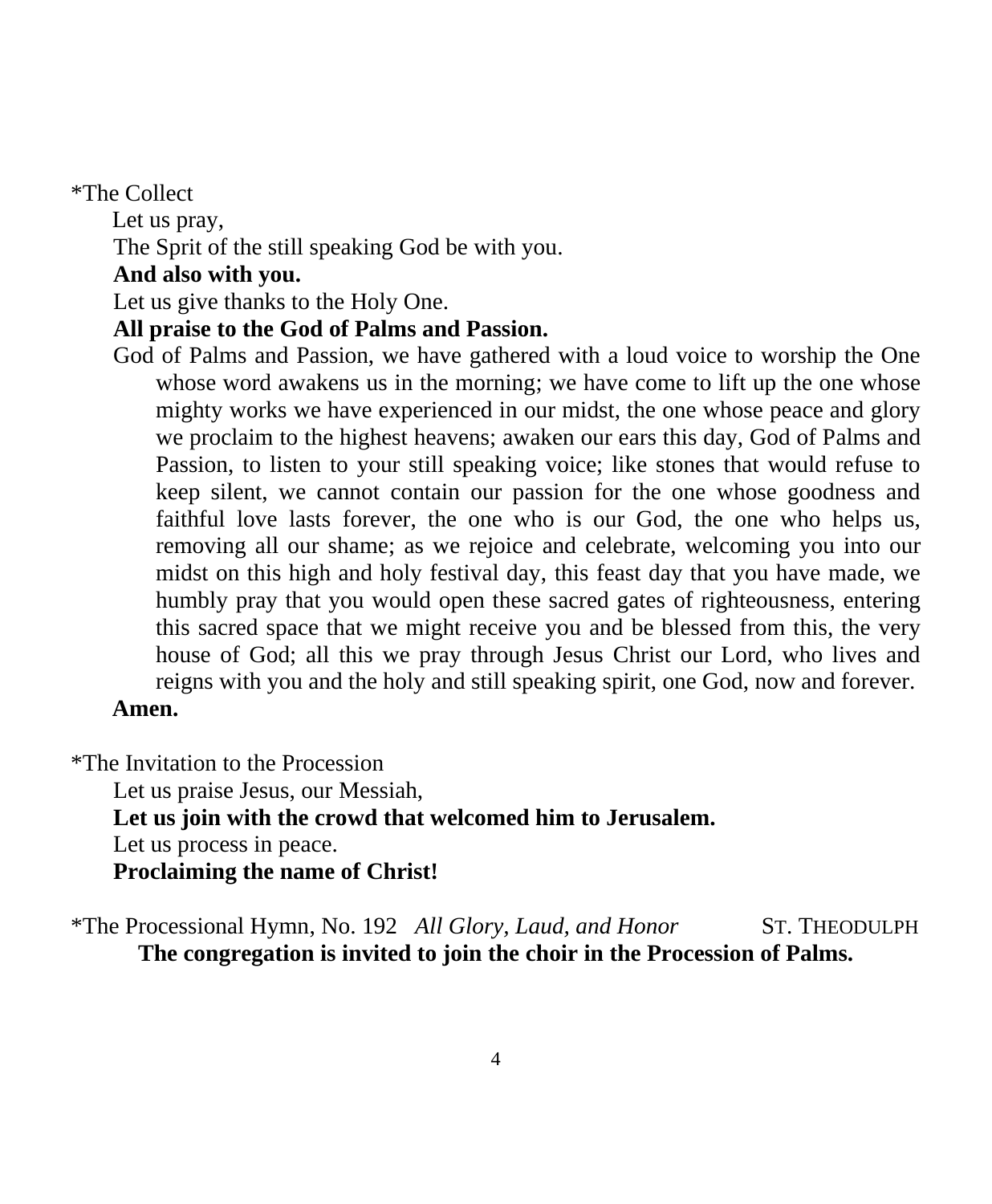#### \*The Collect

 Let us pray, The Sprit of the still speaking God be with you. **And also with you.**

Let us give thanks to the Holy One.

#### **All praise to the God of Palms and Passion.**

God of Palms and Passion, we have gathered with a loud voice to worship the One whose word awakens us in the morning; we have come to lift up the one whose mighty works we have experienced in our midst, the one whose peace and glory we proclaim to the highest heavens; awaken our ears this day, God of Palms and Passion, to listen to your still speaking voice; like stones that would refuse to keep silent, we cannot contain our passion for the one whose goodness and faithful love lasts forever, the one who is our God, the one who helps us, removing all our shame; as we rejoice and celebrate, welcoming you into our midst on this high and holy festival day, this feast day that you have made, we humbly pray that you would open these sacred gates of righteousness, entering this sacred space that we might receive you and be blessed from this, the very house of God; all this we pray through Jesus Christ our Lord, who lives and reigns with you and the holy and still speaking spirit, one God, now and forever.  **Amen.**

\*The Invitation to the Procession

Let us praise Jesus, our Messiah, **Let us join with the crowd that welcomed him to Jerusalem.** Let us process in peace. **Proclaiming the name of Christ!**

\*The Processional Hymn, No. 192 *All Glory, Laud, and Honor* ST. THEODULPH **The congregation is invited to join the choir in the Procession of Palms.**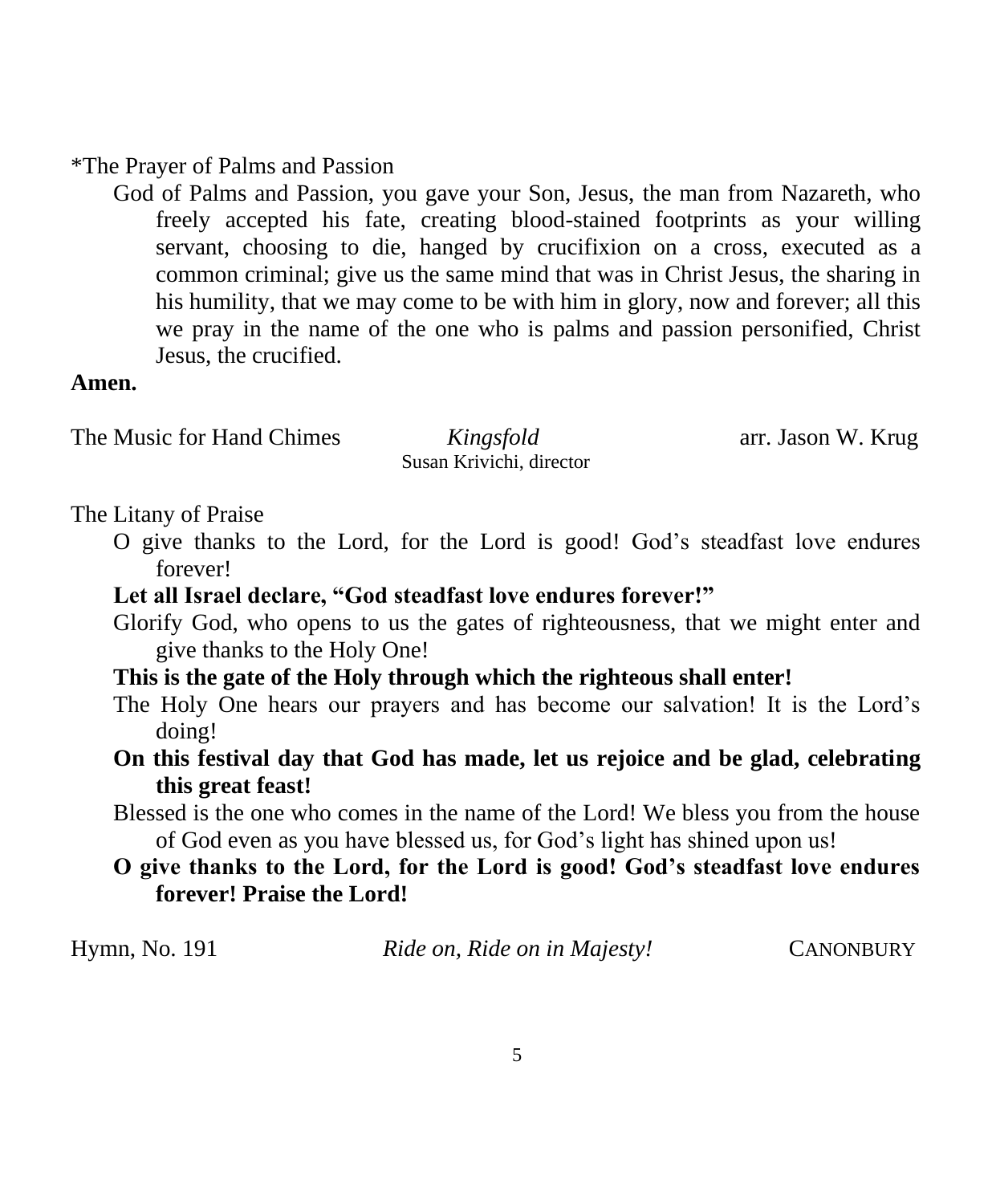\*The Prayer of Palms and Passion

God of Palms and Passion, you gave your Son, Jesus, the man from Nazareth, who freely accepted his fate, creating blood-stained footprints as your willing servant, choosing to die, hanged by crucifixion on a cross, executed as a common criminal; give us the same mind that was in Christ Jesus, the sharing in his humility, that we may come to be with him in glory, now and forever; all this we pray in the name of the one who is palms and passion personified, Christ Jesus, the crucified.

#### **Amen.**

The Music for Hand Chimes *Kingsfold* arr. Jason W. Krug

Susan Krivichi, director

#### The Litany of Praise

O give thanks to the Lord, for the Lord is good! God's steadfast love endures forever!

#### **Let all Israel declare, "God steadfast love endures forever!"**

- Glorify God, who opens to us the gates of righteousness, that we might enter and give thanks to the Holy One!
- **This is the gate of the Holy through which the righteous shall enter!**
- The Holy One hears our prayers and has become our salvation! It is the Lord's doing!
- **On this festival day that God has made, let us rejoice and be glad, celebrating this great feast!**
- Blessed is the one who comes in the name of the Lord! We bless you from the house of God even as you have blessed us, for God's light has shined upon us!

### **O give thanks to the Lord, for the Lord is good! God's steadfast love endures forever! Praise the Lord!**

| Hymn, No. 191 | Ride on, Ride on in Majesty! | <b>CANONBURY</b> |
|---------------|------------------------------|------------------|
|---------------|------------------------------|------------------|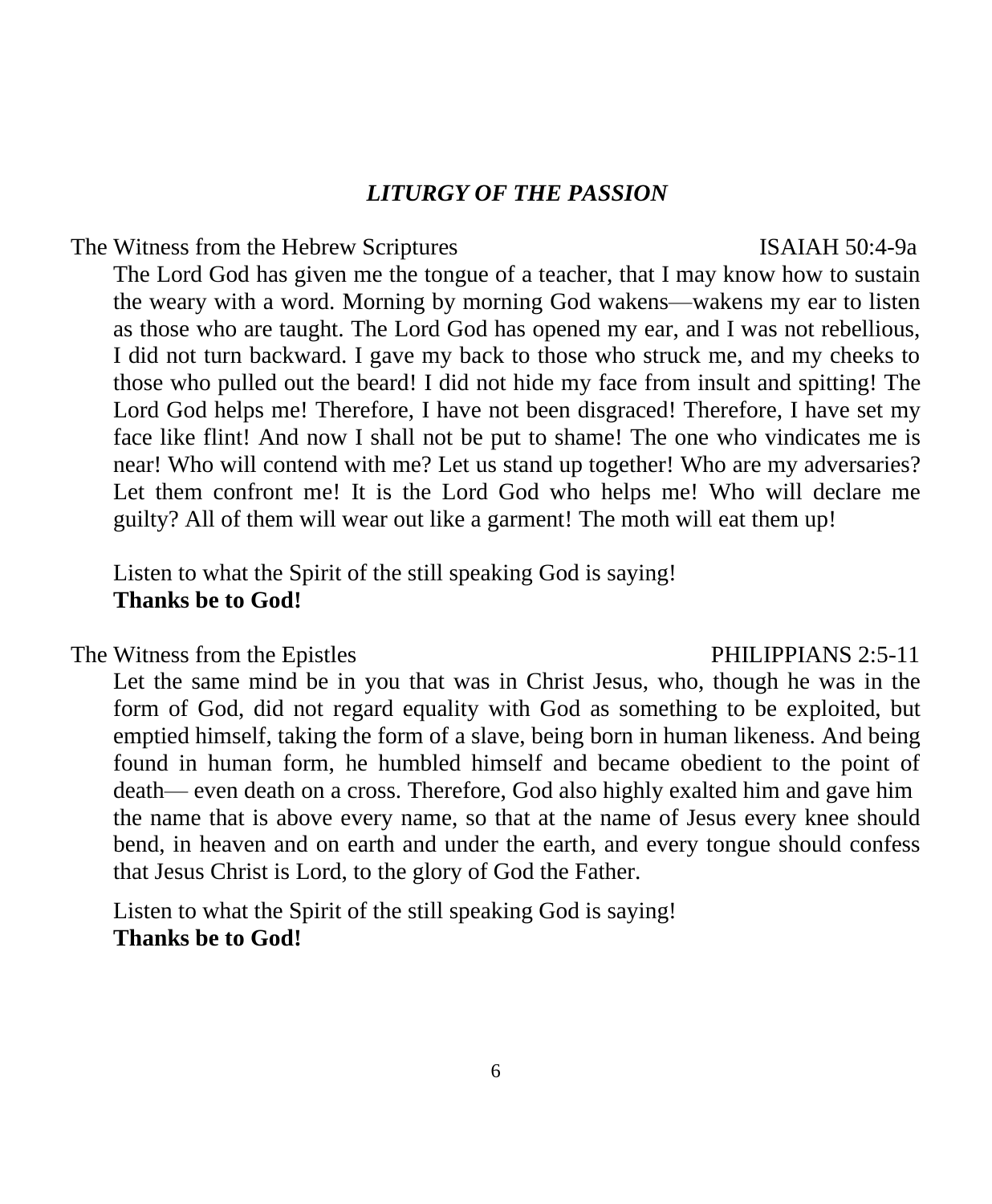#### *LITURGY OF THE PASSION*

#### The Witness from the Hebrew Scriptures ISAIAH 50:4-9a

The Lord God has given me the tongue of a teacher, that I may know how to sustain the weary with a word. Morning by morning God wakens—wakens my ear to listen as those who are taught. The Lord God has opened my ear, and I was not rebellious, I did not turn backward. I gave my back to those who struck me, and my cheeks to those who pulled out the beard! I did not hide my face from insult and spitting! The Lord God helps me! Therefore, I have not been disgraced! Therefore, I have set my face like flint! And now I shall not be put to shame! The one who vindicates me is near! Who will contend with me? Let us stand up together! Who are my adversaries? Let them confront me! It is the Lord God who helps me! Who will declare me guilty? All of them will wear out like a garment! The moth will eat them up!

Listen to what the Spirit of the still speaking God is saying! **Thanks be to God!**

The Witness from the Epistles **PHILIPPIANS** 2:5-11

Let the same mind be in you that was in Christ Jesus, who, though he was in the form of God, did not regard equality with God as something to be exploited, but emptied himself, taking the form of a slave, being born in human likeness. And being found in human form, he humbled himself and became obedient to the point of death— even death on a cross. Therefore, God also highly exalted him and gave him the name that is above every name, so that at the name of Jesus every knee should bend, in heaven and on earth and under the earth, and every tongue should confess that Jesus Christ is Lord, to the glory of God the Father.

Listen to what the Spirit of the still speaking God is saying! **Thanks be to God!**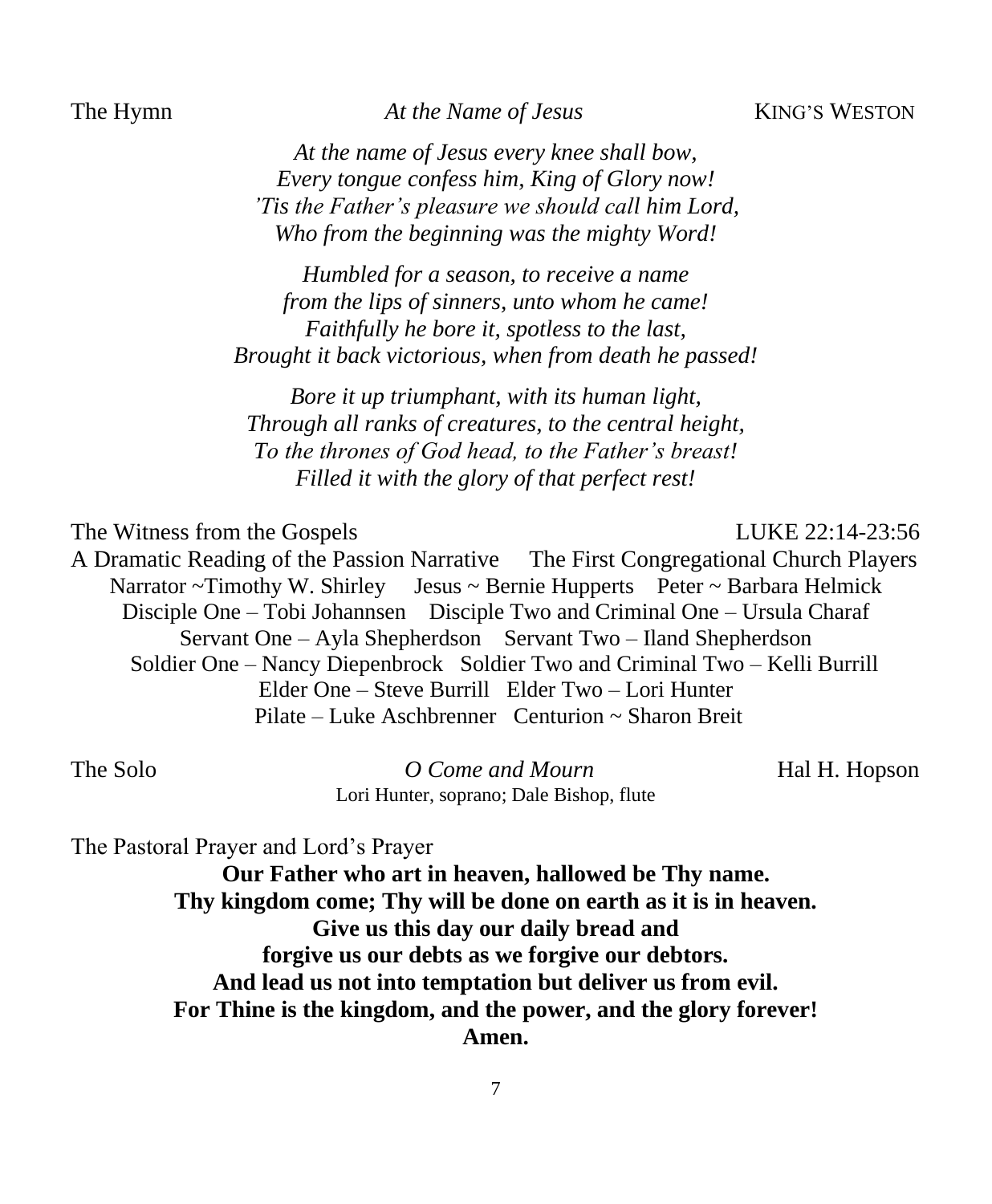The Hymn *At the Name of Jesus* KING'S WESTON

*At the name of Jesus every knee shall bow, Every tongue confess him, King of Glory now! 'Tis the Father's pleasure we should call him Lord, Who from the beginning was the mighty Word!*

*Humbled for a season, to receive a name from the lips of sinners, unto whom he came! Faithfully he bore it, spotless to the last, Brought it back victorious, when from death he passed!*

*Bore it up triumphant, with its human light, Through all ranks of creatures, to the central height, To the thrones of God head, to the Father's breast! Filled it with the glory of that perfect rest!*

The Witness from the Gospels LUKE 22:14-23:56

A Dramatic Reading of the Passion Narrative The First Congregational Church Players Narrator ~Timothy W. Shirley Jesus ~ Bernie Hupperts Peter ~ Barbara Helmick Disciple One – Tobi Johannsen Disciple Two and Criminal One – Ursula Charaf Servant One – Ayla Shepherdson Servant Two – Iland Shepherdson Soldier One – Nancy Diepenbrock Soldier Two and Criminal Two – Kelli Burrill Elder One – Steve Burrill Elder Two – Lori Hunter Pilate – Luke Aschbrenner Centurion ~ Sharon Breit

The Solo *O Come and Mourn* **Hal H. Hopson** Lori Hunter, soprano; Dale Bishop, flute

The Pastoral Prayer and Lord's Prayer

**Our Father who art in heaven, hallowed be Thy name. Thy kingdom come; Thy will be done on earth as it is in heaven. Give us this day our daily bread and forgive us our debts as we forgive our debtors. And lead us not into temptation but deliver us from evil. For Thine is the kingdom, and the power, and the glory forever! Amen.**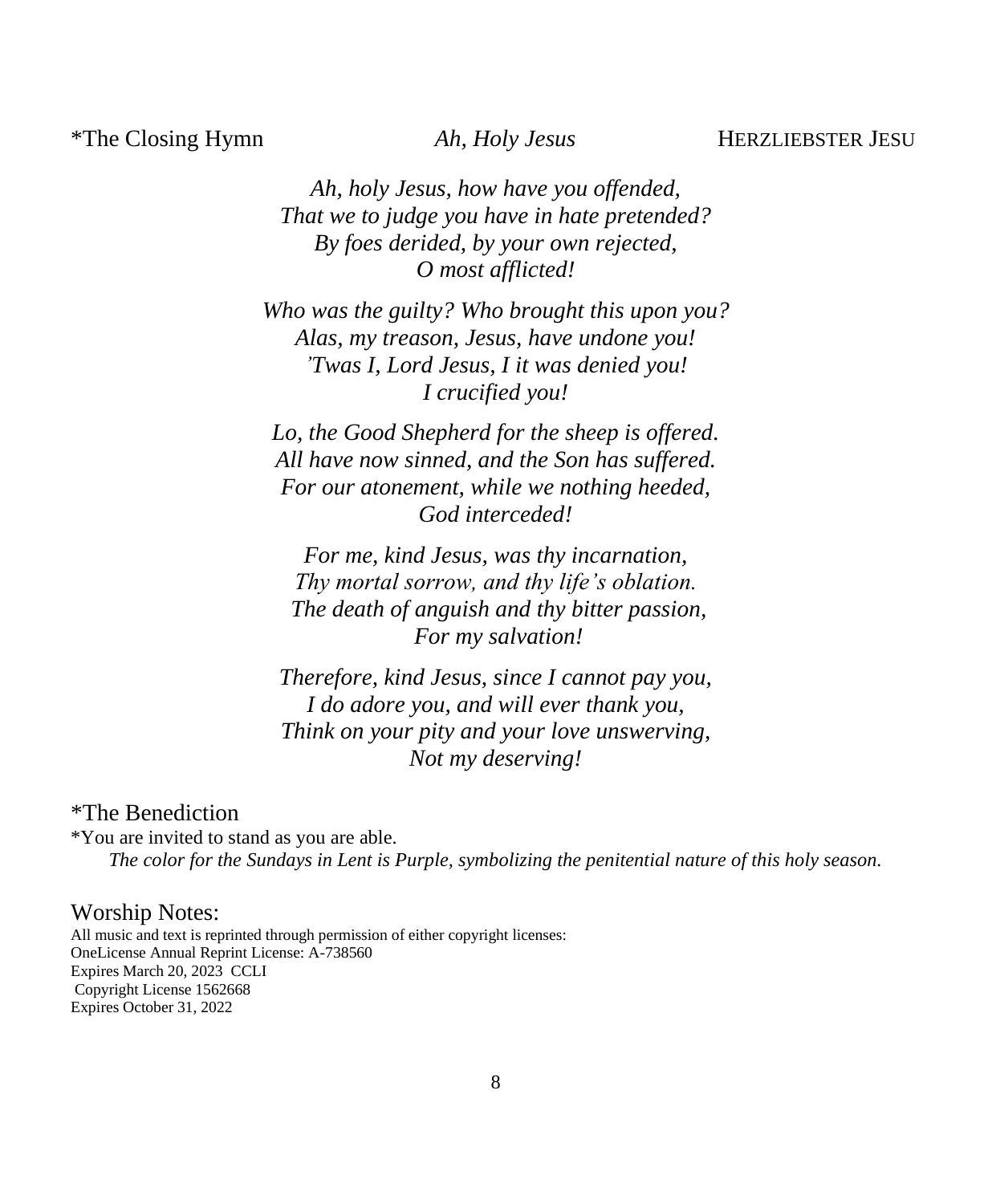#### \*The Closing Hymn *Ah, Holy Jesus* HERZLIEBSTER JESU

*Ah, holy Jesus, how have you offended, That we to judge you have in hate pretended? By foes derided, by your own rejected, O most afflicted!*

*Who was the guilty? Who brought this upon you? Alas, my treason, Jesus, have undone you! 'Twas I, Lord Jesus, I it was denied you! I crucified you!*

*Lo, the Good Shepherd for the sheep is offered. All have now sinned, and the Son has suffered. For our atonement, while we nothing heeded, God interceded!*

*For me, kind Jesus, was thy incarnation, Thy mortal sorrow, and thy life's oblation. The death of anguish and thy bitter passion, For my salvation!*

*Therefore, kind Jesus, since I cannot pay you, I do adore you, and will ever thank you, Think on your pity and your love unswerving, Not my deserving!*

#### \*The Benediction

\*You are invited to stand as you are able. *The color for the Sundays in Lent is Purple, symbolizing the penitential nature of this holy season.*

#### Worship Notes:

All music and text is reprinted through permission of either copyright licenses: OneLicense Annual Reprint License: A-738560 Expires March 20, 2023 CCLI Copyright License 1562668 Expires October 31, 2022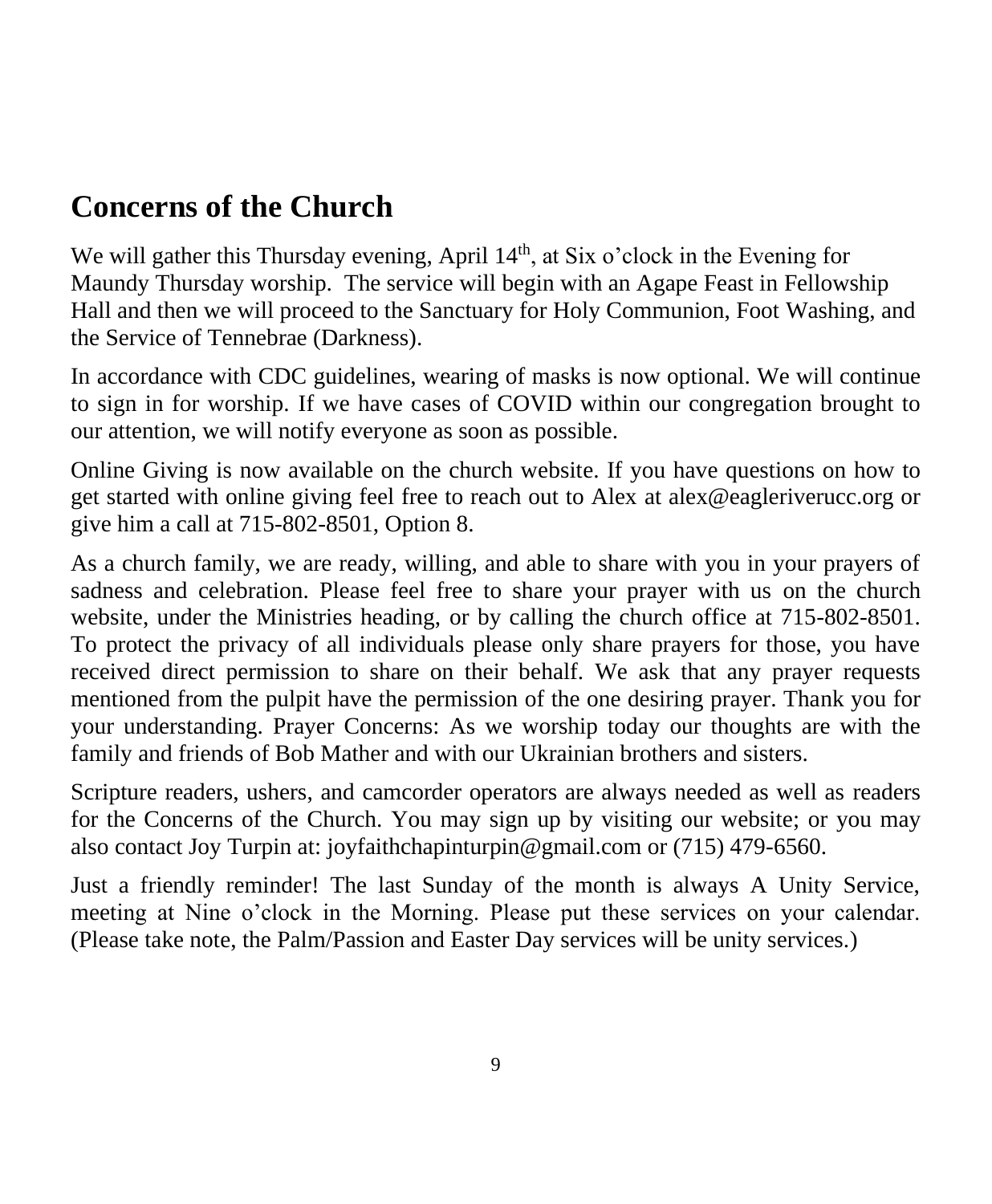# **Concerns of the Church**

We will gather this Thursday evening, April  $14<sup>th</sup>$ , at Six o'clock in the Evening for Maundy Thursday worship. The service will begin with an Agape Feast in Fellowship Hall and then we will proceed to the Sanctuary for Holy Communion, Foot Washing, and the Service of Tennebrae (Darkness).

In accordance with CDC guidelines, wearing of masks is now optional. We will continue to sign in for worship. If we have cases of COVID within our congregation brought to our attention, we will notify everyone as soon as possible.

Online Giving is now available on the church website. If you have questions on how to get started with online giving feel free to reach out to Alex at alex@eagleriverucc.org or give him a call at 715-802-8501, Option 8.

As a church family, we are ready, willing, and able to share with you in your prayers of sadness and celebration. Please feel free to share your prayer with us on the church website, under the Ministries heading, or by calling the church office at 715-802-8501. To protect the privacy of all individuals please only share prayers for those, you have received direct permission to share on their behalf. We ask that any prayer requests mentioned from the pulpit have the permission of the one desiring prayer. Thank you for your understanding. Prayer Concerns: As we worship today our thoughts are with the family and friends of Bob Mather and with our Ukrainian brothers and sisters.

Scripture readers, ushers, and camcorder operators are always needed as well as readers for the Concerns of the Church. You may sign up by visiting our website; or you may also contact Joy Turpin at: joyfaithchapinturpin@gmail.com or (715) 479-6560.

Just a friendly reminder! The last Sunday of the month is always A Unity Service, meeting at Nine o'clock in the Morning. Please put these services on your calendar. (Please take note, the Palm/Passion and Easter Day services will be unity services.)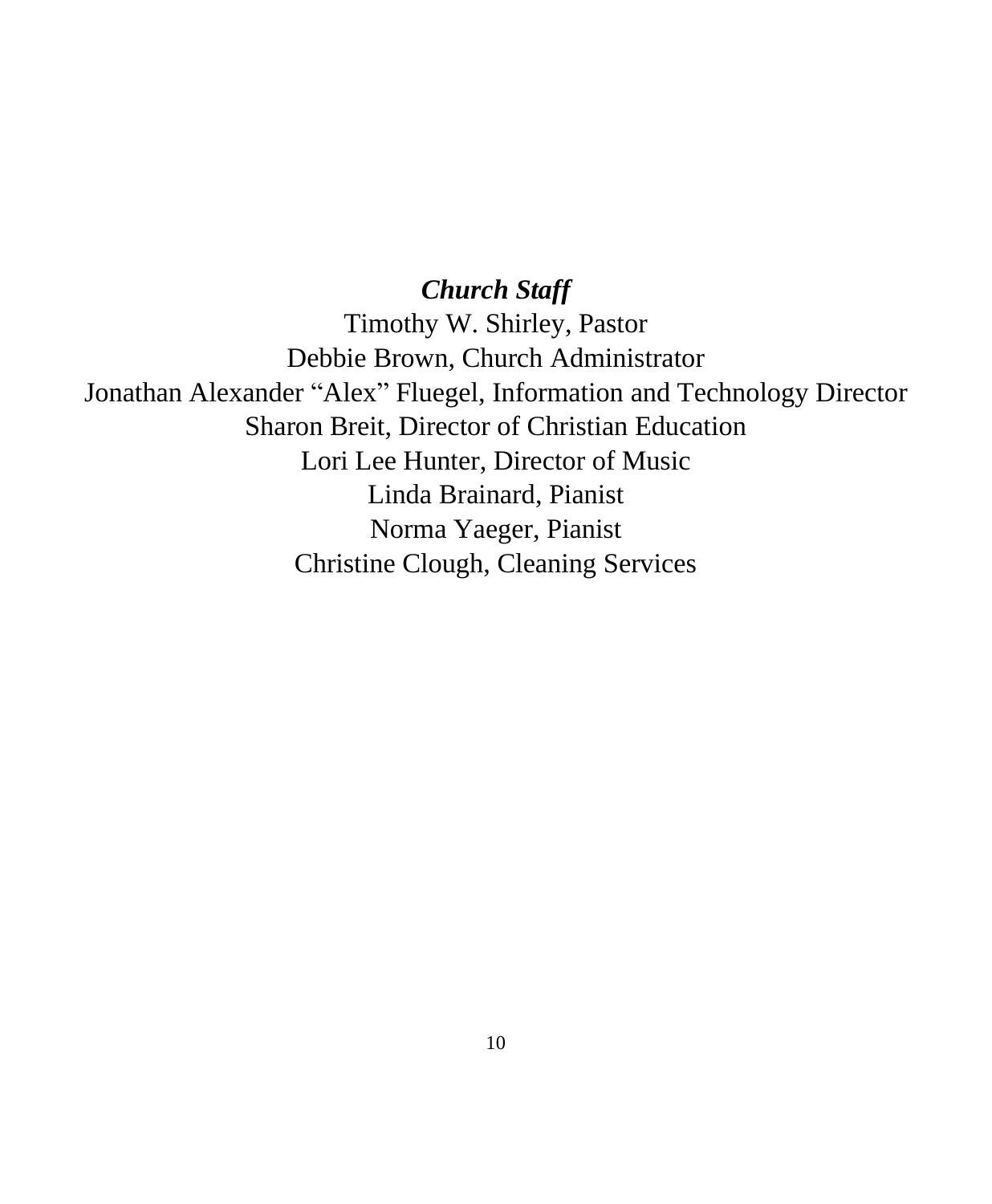### *Church Staff*

Timothy W. Shirley, Pastor Debbie Brown, Church Administrator Jonathan Alexander "Alex" Fluegel, Information and Technology Director Sharon Breit, Director of Christian Education Lori Lee Hunter, Director of Music Linda Brainard, Pianist Norma Yaeger, Pianist Christine Clough, Cleaning Services